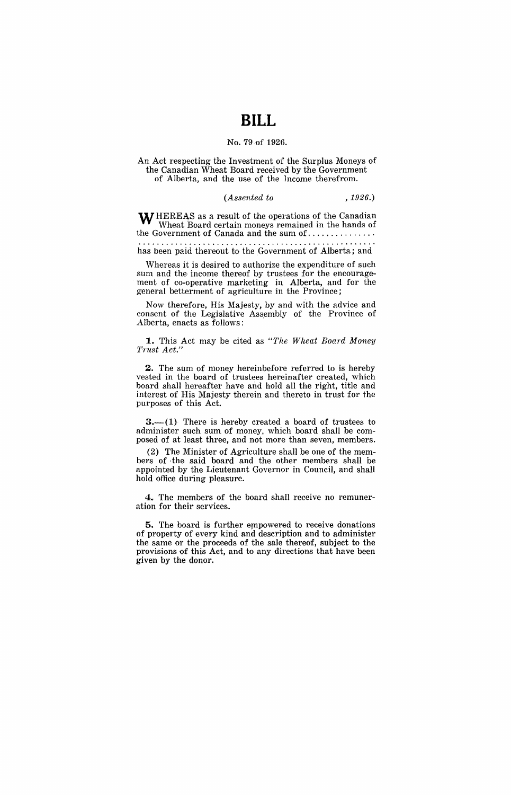## **BILL**

## No. 79·of 1926.

An Act respecting the Investment of the Surplus Moneys of the Canadian Wheat Board received by the Government of Alberta, and the use of the Income therefrom.

## *(Assented to* ,1926.)

 $\mathbf{W}\textsubscript{HEREAS}$  as a result of the operations of the Canadian Wheat Board certain moneys remained in the hands of the Government of Canada and the sum of .............. .

has been paid thereout to the Government of Alberta; and

Whereas it is desired to authorize the expenditure of such sum, and the income thereof by trustees for the encouragement of co-operative marketing in Alberta, and for the general betterment of agriculture in the Province;

Now therefore, His Majesty, by and with the advice and consent of the Legislative Assembly of the Province of Alberta, enacts as follows:

**1.** This Act may be cited as *"The Wheat Board Money*  Trust Act."

2. The sum of money hereinbefore referred to is hereby vested in the board of trustees hereinafter created, which board shall hereafter have and hold all the right, title and interest of His Majesty therein and thereto in trust for the purposes of this Act.

 $3.$  (1) There is hereby created a board of trustees to administer such sum, of money, which board shall be composed of at least three, and not more than seven, members.

(2) The Minister of Agriculture shall be one of the members of· the said board and the other members shall be appointed by the Lieutenant Governor in Council, and shall hold office during pleasure.

**4.** The members of the board shall receive no remuneration for their services.

**5.** The board is further empowered to receive donations of property of every kind and description and to administer the same or the proceeds of the sale thereof, subject to the provisions of this Act, and to any directions that have been given by the donor.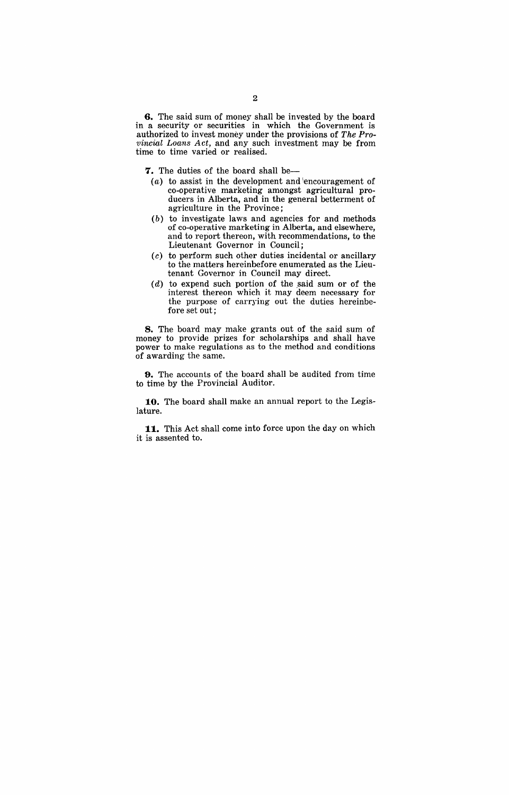**6.** The said sum of money shall be invested by the board in a security or securities in which the Government is authorized to invest money under the provisions of *The Provincial Loans Act,* and any such investment may be from time to time varied or realised.

**7.** The duties of the board shall be-

- (a) to assist in the development and  $\cdot$  encouragement of co-operative marketing amongst agricultural producers in Alberta, and in the general betterment of agriculture in the Province;
- (b) to investigate laws and agencies for and methods of co-operative marketing in Alberta, and elsewhere, and to report thereon, with recommendations, to the Lieutenant Governor in Council;
- (c) to perform such other duties incidental or ancillary to the matters hereinbefore enumerated as the Lieutenant Governor in Council may direct.
- $(d)$  to expend such portion of the said sum or of the interest thereon which it may deem necessary for the purpose of carrying out the duties hereinbefore set out;

**8.** The board may make grants out of the said sum of money to provide prizes for scholarships and shall have power to make regulations as to the method and conditions of awarding the same.

**9.** The accounts of the board shall be audited from time to time by the Provincial Auditor.

**10.** The board shall make an annual report to the Legislature.

**11.** This Act shall come into force upon the day on which it is assented to.